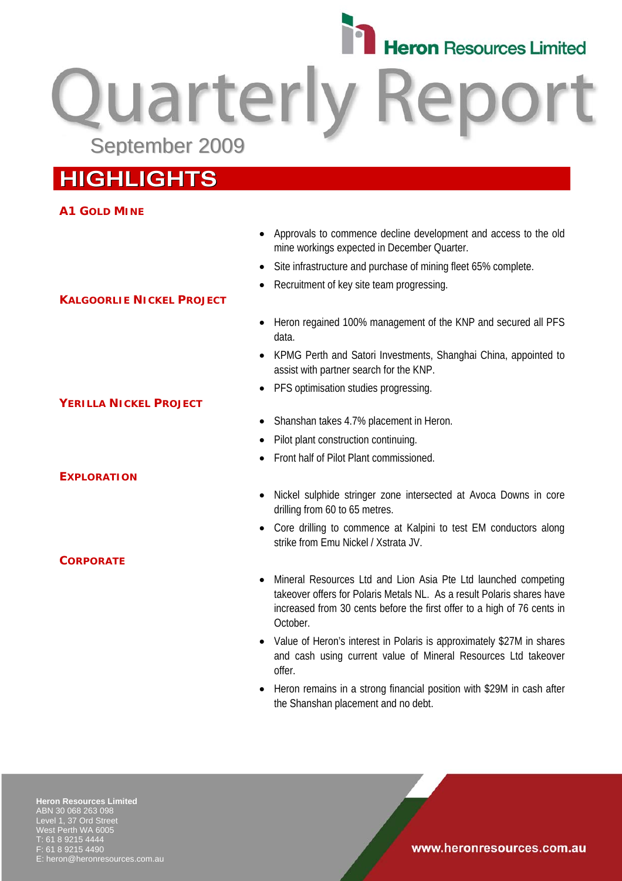

Quarterly September 2009

# **HIGHLIGHTS**

**KALGOORLIE NICKEL PROJECT**

# **A1 GOLD MINE**

- Approvals to commence decline development and access to the old mine workings expected in December Quarter.
- Site infrastructure and purchase of mining fleet 65% complete.
- Recruitment of key site team progressing.
- Heron regained 100% management of the KNP and secured all PFS data.
- KPMG Perth and Satori Investments, Shanghai China, appointed to assist with partner search for the KNP.
- PFS optimisation studies progressing.
- Shanshan takes 4.7% placement in Heron.
- Pilot plant construction continuing.
- Front half of Pilot Plant commissioned.
- Nickel sulphide stringer zone intersected at Avoca Downs in core drilling from 60 to 65 metres.
- Core drilling to commence at Kalpini to test EM conductors along strike from Emu Nickel / Xstrata JV.
- Mineral Resources Ltd and Lion Asia Pte Ltd launched competing takeover offers for Polaris Metals NL. As a result Polaris shares have increased from 30 cents before the first offer to a high of 76 cents in October.
- Value of Heron's interest in Polaris is approximately \$27M in shares and cash using current value of Mineral Resources Ltd takeover offer.
- Heron remains in a strong financial position with \$29M in cash after the Shanshan placement and no debt.

**Heron Resources Limited**  ABN 30 068 263 098 Level 1, 37 Ord Street West Perth WA 6005 T: 61 8 9215 4444 F: 61 8 9215 4490 heron@heronresources.com.au

# **YERILLA NICKEL PROJECT**

### **EXPLORATION**

**CORPORATE**

www.heronresources.com.au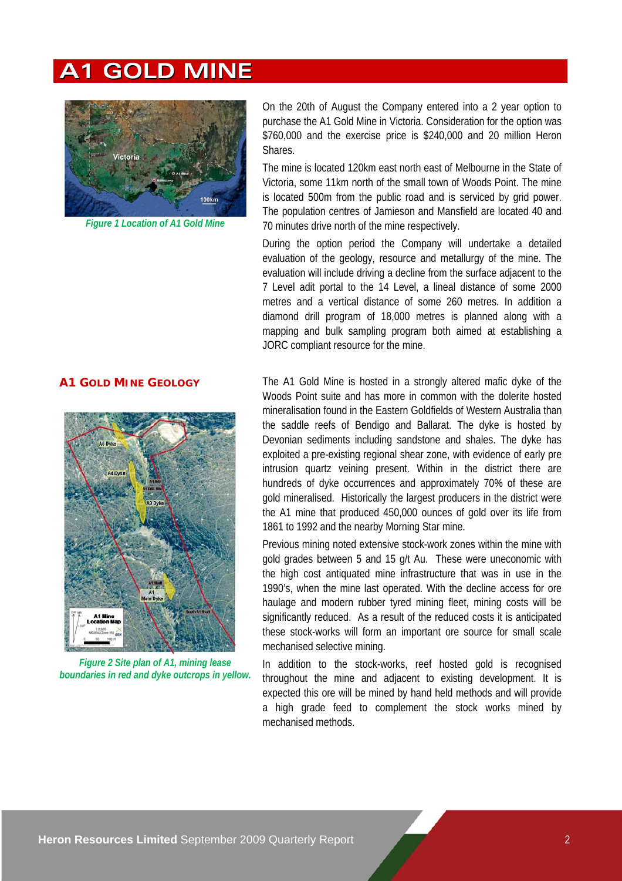# **A1 GOLD MINE**



*Figure 1 Location of A1 Gold Mine* 

On the 20th of August the Company entered into a 2 year option to purchase the A1 Gold Mine in Victoria. Consideration for the option was \$760,000 and the exercise price is \$240,000 and 20 million Heron Shares.

The mine is located 120km east north east of Melbourne in the State of Victoria, some 11km north of the small town of Woods Point. The mine is located 500m from the public road and is serviced by grid power. The population centres of Jamieson and Mansfield are located 40 and 70 minutes drive north of the mine respectively.

During the option period the Company will undertake a detailed evaluation of the geology, resource and metallurgy of the mine. The evaluation will include driving a decline from the surface adjacent to the 7 Level adit portal to the 14 Level, a lineal distance of some 2000 metres and a vertical distance of some 260 metres. In addition a diamond drill program of 18,000 metres is planned along with a mapping and bulk sampling program both aimed at establishing a JORC compliant resource for the mine.

### **A1 GOLD MINE GEOLOGY**



*Figure 2 Site plan of A1, mining lease boundaries in red and dyke outcrops in yellow.* 

The A1 Gold Mine is hosted in a strongly altered mafic dyke of the Woods Point suite and has more in common with the dolerite hosted mineralisation found in the Eastern Goldfields of Western Australia than the saddle reefs of Bendigo and Ballarat. The dyke is hosted by Devonian sediments including sandstone and shales. The dyke has exploited a pre-existing regional shear zone, with evidence of early pre intrusion quartz veining present. Within in the district there are hundreds of dyke occurrences and approximately 70% of these are gold mineralised. Historically the largest producers in the district were the A1 mine that produced 450,000 ounces of gold over its life from 1861 to 1992 and the nearby Morning Star mine.

Previous mining noted extensive stock-work zones within the mine with gold grades between 5 and 15 g/t Au. These were uneconomic with the high cost antiquated mine infrastructure that was in use in the 1990's, when the mine last operated. With the decline access for ore haulage and modern rubber tyred mining fleet, mining costs will be significantly reduced. As a result of the reduced costs it is anticipated these stock-works will form an important ore source for small scale mechanised selective mining.

In addition to the stock-works, reef hosted gold is recognised throughout the mine and adjacent to existing development. It is expected this ore will be mined by hand held methods and will provide a high grade feed to complement the stock works mined by mechanised methods.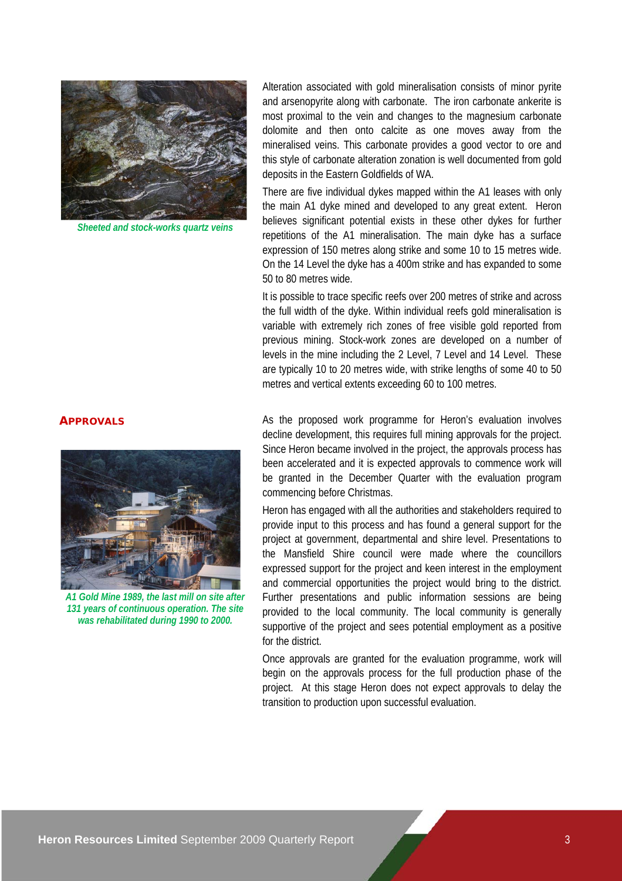

*Sheeted and stock-works quartz veins*

#### **APPROVALS**



*A1 Gold Mine 1989, the last mill on site after 131 years of continuous operation. The site was rehabilitated during 1990 to 2000.* 

Alteration associated with gold mineralisation consists of minor pyrite and arsenopyrite along with carbonate. The iron carbonate ankerite is most proximal to the vein and changes to the magnesium carbonate dolomite and then onto calcite as one moves away from the mineralised veins. This carbonate provides a good vector to ore and this style of carbonate alteration zonation is well documented from gold deposits in the Eastern Goldfields of WA.

There are five individual dykes mapped within the A1 leases with only the main A1 dyke mined and developed to any great extent. Heron believes significant potential exists in these other dykes for further repetitions of the A1 mineralisation. The main dyke has a surface expression of 150 metres along strike and some 10 to 15 metres wide. On the 14 Level the dyke has a 400m strike and has expanded to some 50 to 80 metres wide.

It is possible to trace specific reefs over 200 metres of strike and across the full width of the dyke. Within individual reefs gold mineralisation is variable with extremely rich zones of free visible gold reported from previous mining. Stock-work zones are developed on a number of levels in the mine including the 2 Level, 7 Level and 14 Level. These are typically 10 to 20 metres wide, with strike lengths of some 40 to 50 metres and vertical extents exceeding 60 to 100 metres.

As the proposed work programme for Heron's evaluation involves decline development, this requires full mining approvals for the project. Since Heron became involved in the project, the approvals process has been accelerated and it is expected approvals to commence work will be granted in the December Quarter with the evaluation program commencing before Christmas.

Heron has engaged with all the authorities and stakeholders required to provide input to this process and has found a general support for the project at government, departmental and shire level. Presentations to the Mansfield Shire council were made where the councillors expressed support for the project and keen interest in the employment and commercial opportunities the project would bring to the district. Further presentations and public information sessions are being provided to the local community. The local community is generally supportive of the project and sees potential employment as a positive for the district.

Once approvals are granted for the evaluation programme, work will begin on the approvals process for the full production phase of the project. At this stage Heron does not expect approvals to delay the transition to production upon successful evaluation.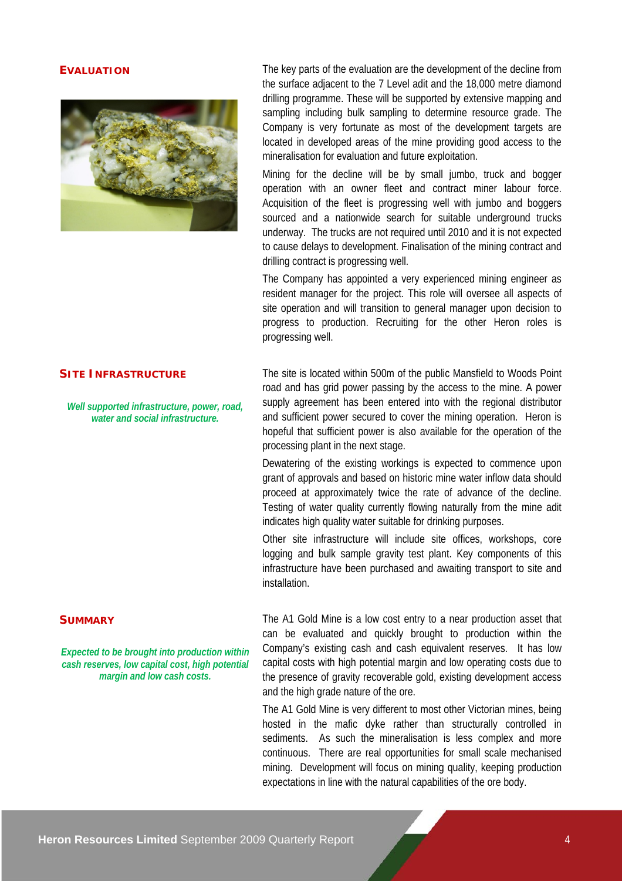

**EVALUATION** The key parts of the evaluation are the development of the decline from the surface adjacent to the 7 Level adit and the 18,000 metre diamond drilling programme. These will be supported by extensive mapping and sampling including bulk sampling to determine resource grade. The Company is very fortunate as most of the development targets are located in developed areas of the mine providing good access to the mineralisation for evaluation and future exploitation.

> Mining for the decline will be by small jumbo, truck and bogger operation with an owner fleet and contract miner labour force. Acquisition of the fleet is progressing well with jumbo and boggers sourced and a nationwide search for suitable underground trucks underway. The trucks are not required until 2010 and it is not expected to cause delays to development. Finalisation of the mining contract and drilling contract is progressing well.

> The Company has appointed a very experienced mining engineer as resident manager for the project. This role will oversee all aspects of site operation and will transition to general manager upon decision to progress to production. Recruiting for the other Heron roles is progressing well.

#### **SITE INFRASTRUCTURE**

*Well supported infrastructure, power, road, water and social infrastructure.*

The site is located within 500m of the public Mansfield to Woods Point road and has grid power passing by the access to the mine. A power supply agreement has been entered into with the regional distributor and sufficient power secured to cover the mining operation. Heron is hopeful that sufficient power is also available for the operation of the processing plant in the next stage.

Dewatering of the existing workings is expected to commence upon grant of approvals and based on historic mine water inflow data should proceed at approximately twice the rate of advance of the decline. Testing of water quality currently flowing naturally from the mine adit indicates high quality water suitable for drinking purposes.

Other site infrastructure will include site offices, workshops, core logging and bulk sample gravity test plant. Key components of this infrastructure have been purchased and awaiting transport to site and installation.

#### **SUMMARY**

*Expected to be brought into production within cash reserves, low capital cost, high potential margin and low cash costs.*

The A1 Gold Mine is a low cost entry to a near production asset that can be evaluated and quickly brought to production within the Company's existing cash and cash equivalent reserves. It has low capital costs with high potential margin and low operating costs due to the presence of gravity recoverable gold, existing development access and the high grade nature of the ore.

The A1 Gold Mine is very different to most other Victorian mines, being hosted in the mafic dyke rather than structurally controlled in sediments. As such the mineralisation is less complex and more continuous. There are real opportunities for small scale mechanised mining. Development will focus on mining quality, keeping production expectations in line with the natural capabilities of the ore body.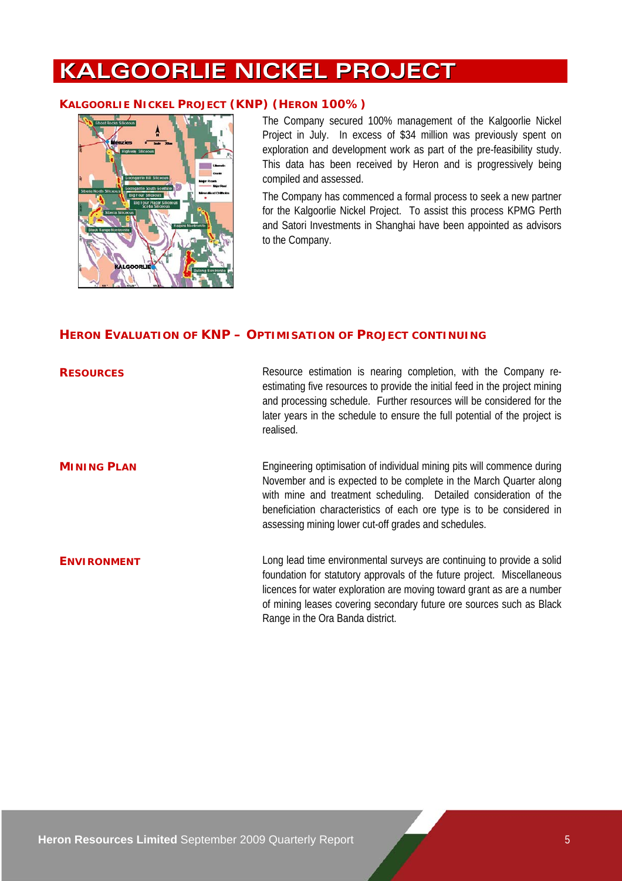# **KALGOORLIE NICKEL PROJECT**

#### **KALGOORLIE NICKEL PROJECT (KNP) (HERON 100%)**



The Company secured 100% management of the Kalgoorlie Nickel Project in July. In excess of \$34 million was previously spent on exploration and development work as part of the pre-feasibility study. This data has been received by Heron and is progressively being compiled and assessed.

The Company has commenced a formal process to seek a new partner for the Kalgoorlie Nickel Project. To assist this process KPMG Perth and Satori Investments in Shanghai have been appointed as advisors to the Company.

#### **HERON EVALUATION OF KNP – OPTIMISATION OF PROJECT CONTINUING**

| <b>RESOURCES</b>   | Resource estimation is nearing completion, with the Company re-<br>estimating five resources to provide the initial feed in the project mining<br>and processing schedule. Further resources will be considered for the<br>later years in the schedule to ensure the full potential of the project is<br>realised.                                  |
|--------------------|-----------------------------------------------------------------------------------------------------------------------------------------------------------------------------------------------------------------------------------------------------------------------------------------------------------------------------------------------------|
| <b>MINING PLAN</b> | Engineering optimisation of individual mining pits will commence during<br>November and is expected to be complete in the March Quarter along<br>with mine and treatment scheduling. Detailed consideration of the<br>beneficiation characteristics of each ore type is to be considered in<br>assessing mining lower cut-off grades and schedules. |
| <b>ENVIRONMENT</b> | Long lead time environmental surveys are continuing to provide a solid<br>foundation for statutory approvals of the future project. Miscellaneous<br>licences for water exploration are moving toward grant as are a number<br>of mining leases covering secondary future ore sources such as Black<br>Range in the Ora Banda district.             |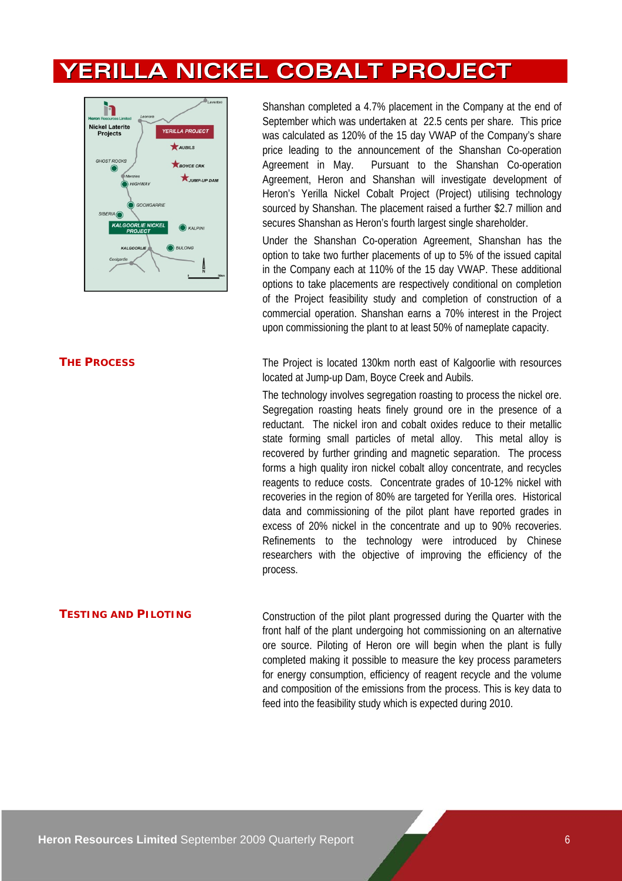# **YERILLA NICKEL COBALT PROJECT**



#### **THE PROCESS**

Shanshan completed a 4.7% placement in the Company at the end of September which was undertaken at 22.5 cents per share. This price was calculated as 120% of the 15 day VWAP of the Company's share price leading to the announcement of the Shanshan Co-operation Agreement in May. Pursuant to the Shanshan Co-operation Agreement, Heron and Shanshan will investigate development of Heron's Yerilla Nickel Cobalt Project (Project) utilising technology sourced by Shanshan. The placement raised a further \$2.7 million and secures Shanshan as Heron's fourth largest single shareholder.

Under the Shanshan Co-operation Agreement, Shanshan has the option to take two further placements of up to 5% of the issued capital in the Company each at 110% of the 15 day VWAP. These additional options to take placements are respectively conditional on completion of the Project feasibility study and completion of construction of a commercial operation. Shanshan earns a 70% interest in the Project upon commissioning the plant to at least 50% of nameplate capacity.

The Project is located 130km north east of Kalgoorlie with resources located at Jump-up Dam, Boyce Creek and Aubils.

The technology involves segregation roasting to process the nickel ore. Segregation roasting heats finely ground ore in the presence of a reductant. The nickel iron and cobalt oxides reduce to their metallic state forming small particles of metal alloy. This metal alloy is recovered by further grinding and magnetic separation. The process forms a high quality iron nickel cobalt alloy concentrate, and recycles reagents to reduce costs. Concentrate grades of 10-12% nickel with recoveries in the region of 80% are targeted for Yerilla ores. Historical data and commissioning of the pilot plant have reported grades in excess of 20% nickel in the concentrate and up to 90% recoveries. Refinements to the technology were introduced by Chinese researchers with the objective of improving the efficiency of the process.

**TESTING AND PILOTING** Construction of the pilot plant progressed during the Quarter with the front half of the plant undergoing hot commissioning on an alternative ore source. Piloting of Heron ore will begin when the plant is fully completed making it possible to measure the key process parameters for energy consumption, efficiency of reagent recycle and the volume and composition of the emissions from the process. This is key data to feed into the feasibility study which is expected during 2010.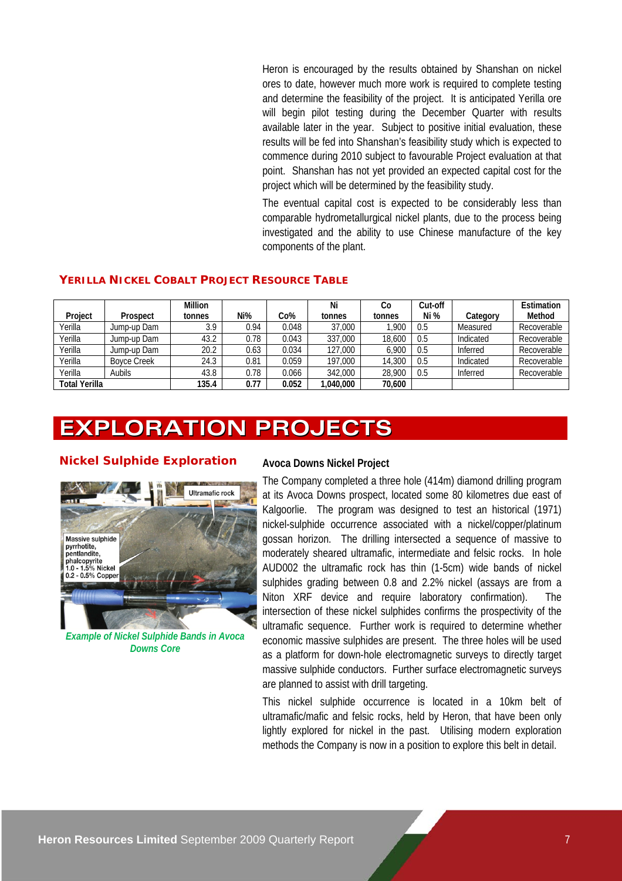Heron is encouraged by the results obtained by Shanshan on nickel ores to date, however much more work is required to complete testing and determine the feasibility of the project. It is anticipated Yerilla ore will begin pilot testing during the December Quarter with results available later in the year. Subject to positive initial evaluation, these results will be fed into Shanshan's feasibility study which is expected to commence during 2010 subject to favourable Project evaluation at that point. Shanshan has not yet provided an expected capital cost for the project which will be determined by the feasibility study.

The eventual capital cost is expected to be considerably less than comparable hydrometallurgical nickel plants, due to the process being investigated and the ability to use Chinese manufacture of the key components of the plant.

#### **YERILLA NICKEL COBALT PROJECT RESOURCE TABLE**

|                      |                    | Million |      |       | Ni      | Co     | Cut-off |           | Estimation  |
|----------------------|--------------------|---------|------|-------|---------|--------|---------|-----------|-------------|
| Project              | Prospect           | tonnes  | Ni%  | Co%   | tonnes  | tonnes | Ni %    | Category  | Method      |
| Yerilla              | Jump-up Dam        | 3.9     | 0.94 | 0.048 | 37,000  | .900   | 0.5     | Measured  | Recoverable |
| Yerilla              | Jump-up Dam        | 43.2    | 0.78 | 0.043 | 337,000 | 18,600 | 0.5     | Indicated | Recoverable |
| Yerilla              | Jump-up Dam        | 20.2    | 0.63 | 0.034 | 127,000 | 6.900  | 0.5     | Inferred  | Recoverable |
| Yerilla              | <b>Boyce Creek</b> | 24.3    | 0.81 | 0.059 | 197.000 | 14,300 | 0.5     | Indicated | Recoverable |
| Yerilla              | <b>Aubils</b>      | 43.8    | 0.78 | 0.066 | 342,000 | 28,900 | 0.5     | Inferred  | Recoverable |
| <b>Total Yerilla</b> |                    | 135.4   | 0.77 | 0.052 | 040.000 | 70.600 |         |           |             |

# **EXPLORATION PROJECTS**

#### **Nickel Sulphide Exploration**



*Example of Nickel Sulphide Bands in Avoca Downs Core* 

#### **Avoca Downs Nickel Project**

The Company completed a three hole (414m) diamond drilling program at its Avoca Downs prospect, located some 80 kilometres due east of Kalgoorlie. The program was designed to test an historical (1971) nickel-sulphide occurrence associated with a nickel/copper/platinum gossan horizon. The drilling intersected a sequence of massive to moderately sheared ultramafic, intermediate and felsic rocks. In hole AUD002 the ultramafic rock has thin (1-5cm) wide bands of nickel sulphides grading between 0.8 and 2.2% nickel (assays are from a Niton XRF device and require laboratory confirmation). The intersection of these nickel sulphides confirms the prospectivity of the ultramafic sequence. Further work is required to determine whether economic massive sulphides are present. The three holes will be used as a platform for down-hole electromagnetic surveys to directly target massive sulphide conductors. Further surface electromagnetic surveys are planned to assist with drill targeting.

This nickel sulphide occurrence is located in a 10km belt of ultramafic/mafic and felsic rocks, held by Heron, that have been only lightly explored for nickel in the past. Utilising modern exploration methods the Company is now in a position to explore this belt in detail.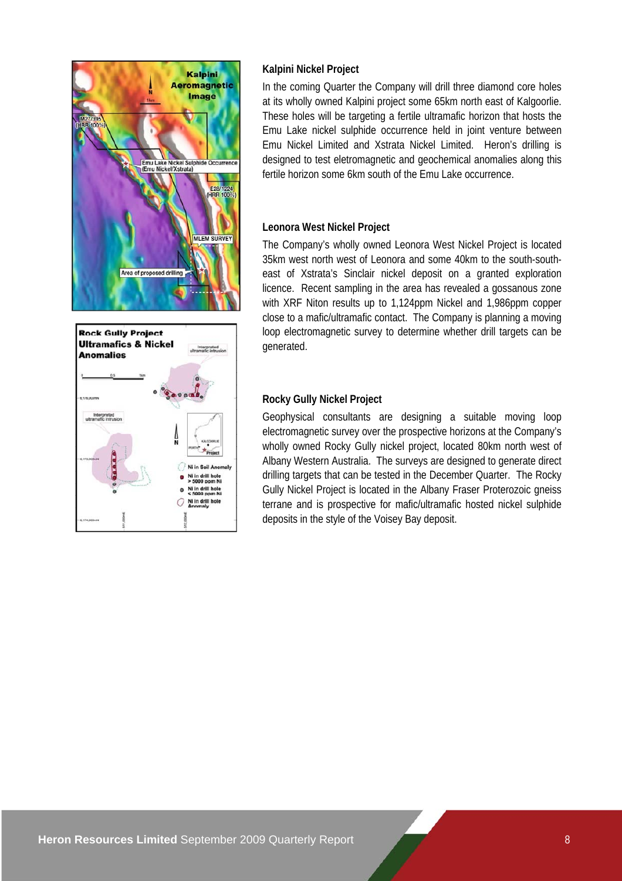



### **Kalpini Nickel Project**

In the coming Quarter the Company will drill three diamond core holes at its wholly owned Kalpini project some 65km north east of Kalgoorlie. These holes will be targeting a fertile ultramafic horizon that hosts the Emu Lake nickel sulphide occurrence held in joint venture between Emu Nickel Limited and Xstrata Nickel Limited. Heron's drilling is designed to test eletromagnetic and geochemical anomalies along this fertile horizon some 6km south of the Emu Lake occurrence.

### **Leonora West Nickel Project**

The Company's wholly owned Leonora West Nickel Project is located 35km west north west of Leonora and some 40km to the south-southeast of Xstrata's Sinclair nickel deposit on a granted exploration licence. Recent sampling in the area has revealed a gossanous zone with XRF Niton results up to 1,124ppm Nickel and 1,986ppm copper close to a mafic/ultramafic contact. The Company is planning a moving loop electromagnetic survey to determine whether drill targets can be generated.

### **Rocky Gully Nickel Project**

Geophysical consultants are designing a suitable moving loop electromagnetic survey over the prospective horizons at the Company's wholly owned Rocky Gully nickel project, located 80km north west of Albany Western Australia. The surveys are designed to generate direct drilling targets that can be tested in the December Quarter. The Rocky Gully Nickel Project is located in the Albany Fraser Proterozoic gneiss terrane and is prospective for mafic/ultramafic hosted nickel sulphide deposits in the style of the Voisey Bay deposit.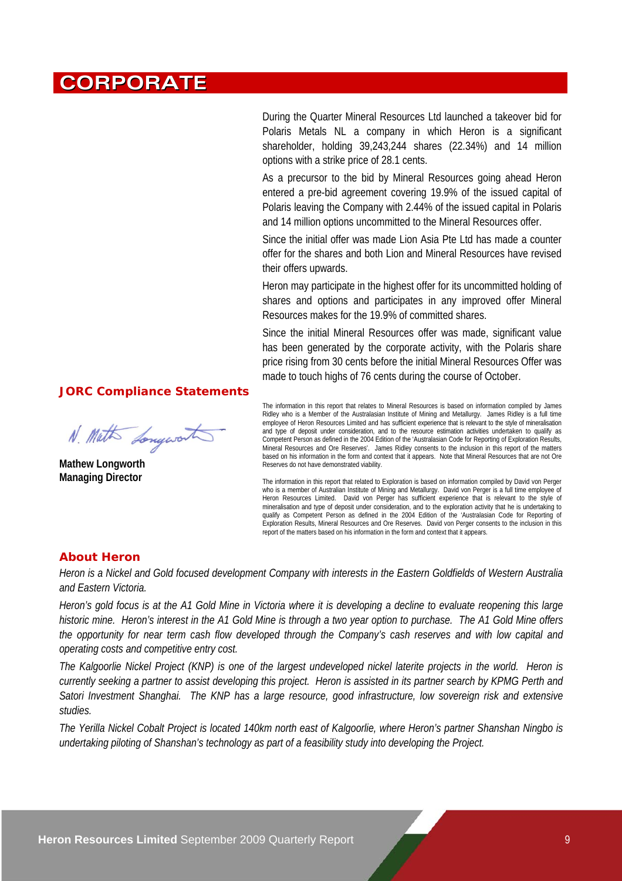# **CORPORATE**

During the Quarter Mineral Resources Ltd launched a takeover bid for Polaris Metals NL a company in which Heron is a significant shareholder, holding 39,243,244 shares (22.34%) and 14 million options with a strike price of 28.1 cents.

As a precursor to the bid by Mineral Resources going ahead Heron entered a pre-bid agreement covering 19.9% of the issued capital of Polaris leaving the Company with 2.44% of the issued capital in Polaris and 14 million options uncommitted to the Mineral Resources offer.

Since the initial offer was made Lion Asia Pte Ltd has made a counter offer for the shares and both Lion and Mineral Resources have revised their offers upwards.

Heron may participate in the highest offer for its uncommitted holding of shares and options and participates in any improved offer Mineral Resources makes for the 19.9% of committed shares.

Since the initial Mineral Resources offer was made, significant value has been generated by the corporate activity, with the Polaris share price rising from 30 cents before the initial Mineral Resources Offer was made to touch highs of 76 cents during the course of October.

#### **JORC Compliance Statements**

N. Math Longwort

**Mathew Longworth Managing Director** 

The information in this report that relates to Mineral Resources is based on information compiled by James Ridley who is a Member of the Australasian Institute of Mining and Metallurgy. James Ridley is a full time employee of Heron Resources Limited and has sufficient experience that is relevant to the style of mineralisation and type of deposit under consideration, and to the resource estimation activities undertaken to qualify as Competent Person as defined in the 2004 Edition of the 'Australasian Code for Reporting of Exploration Results, Mineral Resources and Ore Reserves'. James Ridley consents to the inclusion in this report of the matters based on his information in the form and context that it appears. Note that Mineral Resources that are not Ore Reserves do not have demonstrated viability.

The information in this report that related to Exploration is based on information compiled by David von Perger who is a member of Australian Institute of Mining and Metallurgy. David von Perger is a full time employee of Heron Resources Limited. David von Perger has sufficient experience that is relevant to the style of mineralisation and type of deposit under consideration, and to the exploration activity that he is undertaking to qualify as Competent Person as defined in the 2004 Edition of the 'Australasian Code for Reporting of Exploration Results, Mineral Resources and Ore Reserves. David von Perger consents to the inclusion in this report of the matters based on his information in the form and context that it appears.

#### **About Heron**

*Heron is a Nickel and Gold focused development Company with interests in the Eastern Goldfields of Western Australia and Eastern Victoria.* 

*Heron's gold focus is at the A1 Gold Mine in Victoria where it is developing a decline to evaluate reopening this large historic mine. Heron's interest in the A1 Gold Mine is through a two year option to purchase. The A1 Gold Mine offers the opportunity for near term cash flow developed through the Company's cash reserves and with low capital and operating costs and competitive entry cost.* 

*The Kalgoorlie Nickel Project (KNP) is one of the largest undeveloped nickel laterite projects in the world. Heron is currently seeking a partner to assist developing this project. Heron is assisted in its partner search by KPMG Perth and Satori Investment Shanghai. The KNP has a large resource, good infrastructure, low sovereign risk and extensive studies.* 

*The Yerilla Nickel Cobalt Project is located 140km north east of Kalgoorlie, where Heron's partner Shanshan Ningbo is undertaking piloting of Shanshan's technology as part of a feasibility study into developing the Project.*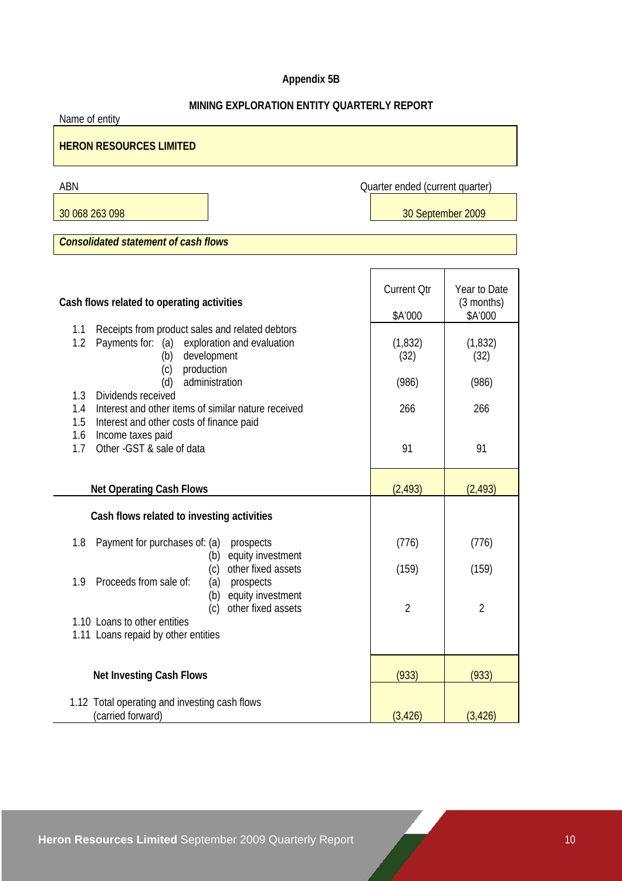# **Appendix 5B**

## **MINING EXPLORATION ENTITY QUARTERLY REPORT**

Name of entity

# **HERON RESOURCES LIMITED**

ABN Quarter ended (current quarter)

30 068 263 098 30 September 2009

*Consolidated statement of cash flows* 

| Cash flows related to operating activities                                                                                                                  | <b>Current Qtr</b><br>\$A'000 | Year to Date<br>(3 months)<br>\$A'000 |
|-------------------------------------------------------------------------------------------------------------------------------------------------------------|-------------------------------|---------------------------------------|
| Receipts from product sales and related debtors<br>1.1<br>Payments for: (a)<br>1.2<br>exploration and evaluation<br>development<br>(b)<br>production<br>(c) | (1, 832)<br>(32)              | (1, 832)<br>(32)                      |
| administration<br>(d)                                                                                                                                       | (986)                         | (986)                                 |
| Dividends received<br>1.3<br>Interest and other items of similar nature received<br>1.4<br>1.5<br>Interest and other costs of finance paid                  | 266                           | 266                                   |
| Income taxes paid<br>1.6<br>Other - GST & sale of data<br>1.7                                                                                               | 91                            | 91                                    |
| <b>Net Operating Cash Flows</b>                                                                                                                             | (2, 493)                      | (2, 493)                              |
| Cash flows related to investing activities                                                                                                                  |                               |                                       |
| Payment for purchases of: (a)<br>1.8<br>prospects<br>equity investment<br>(b)                                                                               | (776)                         | (776)                                 |
| other fixed assets<br>(c)<br>Proceeds from sale of:<br>(a)<br>1.9<br>prospects                                                                              | (159)                         | (159)                                 |
| equity investment<br>(b)<br>other fixed assets<br>(c)                                                                                                       | $\overline{2}$                | $\overline{2}$                        |
| 1.10 Loans to other entities<br>1.11 Loans repaid by other entities                                                                                         |                               |                                       |
| <b>Net Investing Cash Flows</b>                                                                                                                             | (933)                         | (933)                                 |
| 1.12 Total operating and investing cash flows<br>(carried forward)                                                                                          | (3, 426)                      | (3, 426)                              |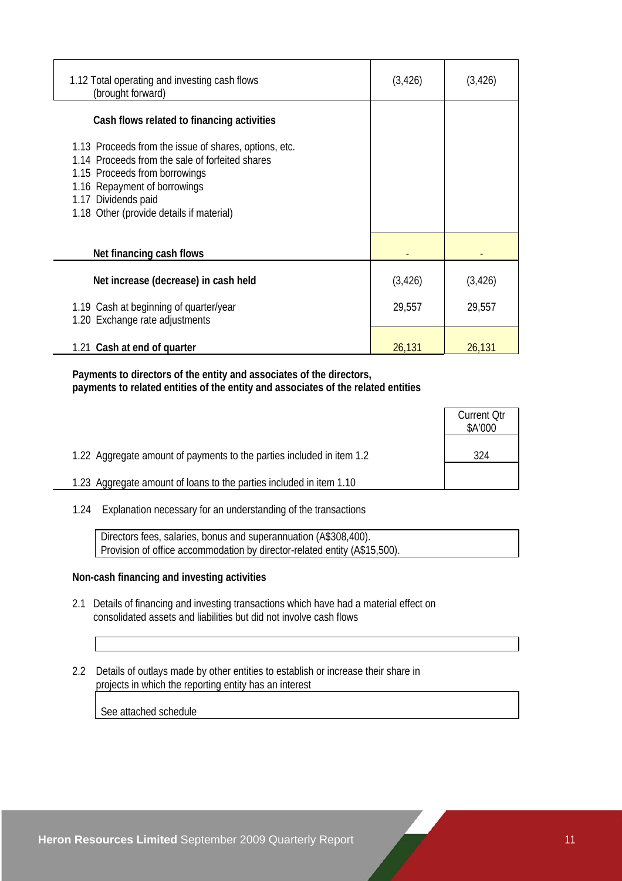| 1.12 Total operating and investing cash flows<br>(brought forward)                                                                                                                                                                           | (3, 426) | (3, 426) |
|----------------------------------------------------------------------------------------------------------------------------------------------------------------------------------------------------------------------------------------------|----------|----------|
| Cash flows related to financing activities                                                                                                                                                                                                   |          |          |
| 1.13 Proceeds from the issue of shares, options, etc.<br>1.14 Proceeds from the sale of forfeited shares<br>1.15 Proceeds from borrowings<br>1.16 Repayment of borrowings<br>1.17 Dividends paid<br>1.18 Other (provide details if material) |          |          |
| Net financing cash flows                                                                                                                                                                                                                     |          |          |
| Net increase (decrease) in cash held                                                                                                                                                                                                         | (3, 426) | (3, 426) |
| 1.19 Cash at beginning of quarter/year<br>1.20 Exchange rate adjustments                                                                                                                                                                     | 29,557   | 29,557   |
| 1.21 Cash at end of quarter                                                                                                                                                                                                                  | 26,131   | 26,131   |

 **Payments to directors of the entity and associates of the directors, payments to related entities of the entity and associates of the related entities** 

|                                                                       | <b>Current Qtr</b><br>\$A'000 |
|-----------------------------------------------------------------------|-------------------------------|
| 1.22 Aggregate amount of payments to the parties included in item 1.2 | 324                           |
| 1.23 Aggregate amount of loans to the parties included in item 1.10   |                               |

1.24 Explanation necessary for an understanding of the transactions

 Directors fees, salaries, bonus and superannuation (A\$308,400). Provision of office accommodation by director-related entity (A\$15,500).

#### **Non-cash financing and investing activities**

- 2.1 Details of financing and investing transactions which have had a material effect on consolidated assets and liabilities but did not involve cash flows
- 2.2 Details of outlays made by other entities to establish or increase their share in projects in which the reporting entity has an interest

See attached schedule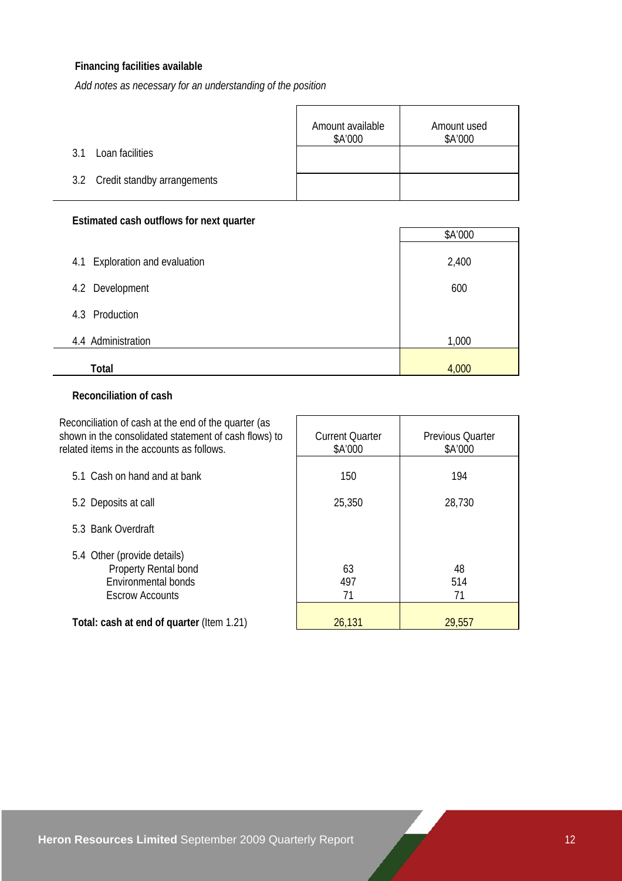# **Financing facilities available**

*Add notes as necessary for an understanding of the position*

|                                 | Amount available<br>\$A'000 | Amount used<br>\$A'000 |
|---------------------------------|-----------------------------|------------------------|
| Loan facilities<br>3.1          |                             |                        |
| 3.2 Credit standby arrangements |                             |                        |

## **Estimated cash outflows for next quarter**

|                                | \$A'000 |
|--------------------------------|---------|
| 4.1 Exploration and evaluation | 2,400   |
| 4.2 Development                | 600     |
| 4.3 Production                 |         |
| 4.4 Administration             | 1,000   |
| Total                          | 4,000   |

### **Reconciliation of cash**

| Reconciliation of cash at the end of the quarter (as<br>shown in the consolidated statement of cash flows) to<br>related items in the accounts as follows. | <b>Current Quarter</b><br>\$A'000 | <b>Previous Quarter</b><br>\$A'000 |
|------------------------------------------------------------------------------------------------------------------------------------------------------------|-----------------------------------|------------------------------------|
| 5.1 Cash on hand and at bank                                                                                                                               | 150                               | 194                                |
| 5.2 Deposits at call                                                                                                                                       | 25,350                            | 28,730                             |
| 5.3 Bank Overdraft                                                                                                                                         |                                   |                                    |
| 5.4 Other (provide details)<br>Property Rental bond<br>Environmental bonds<br><b>Escrow Accounts</b>                                                       | 63<br>497<br>71                   | 48<br>514<br>71                    |
| Total: cash at end of quarter (Item 1.21)                                                                                                                  | 26,131                            | 29,557                             |

 $\overline{\phantom{a}}$ 

 $\Box$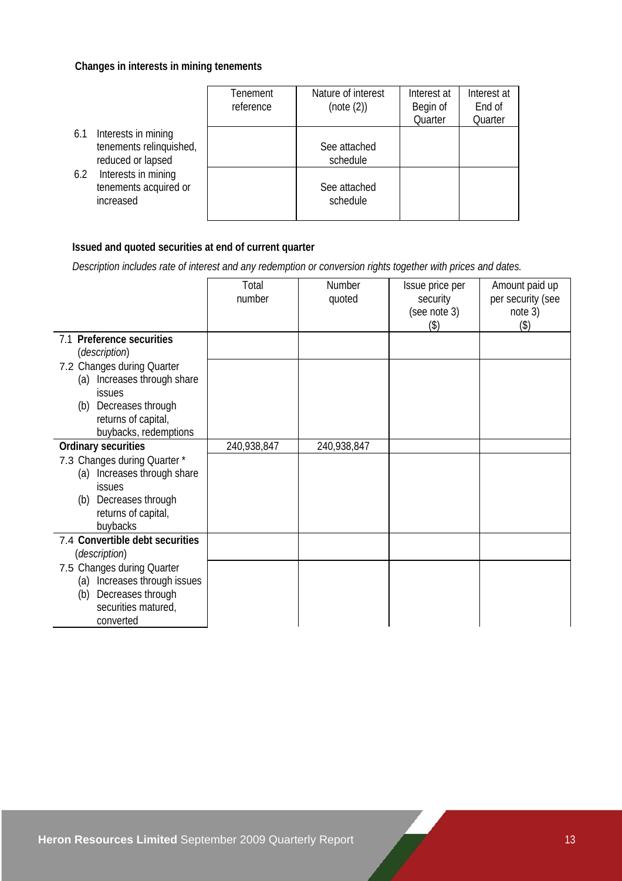#### **Changes in interests in mining tenements**

|                                                                            | Tenement<br>reference | Nature of interest<br>(note (2)) | Interest at<br>Begin of<br>Quarter | Interest at<br>End of<br>Quarter |
|----------------------------------------------------------------------------|-----------------------|----------------------------------|------------------------------------|----------------------------------|
| Interests in mining<br>6.1<br>tenements relinquished,<br>reduced or lapsed |                       | See attached<br>schedule         |                                    |                                  |
| Interests in mining<br>6.2<br>tenements acquired or<br>increased           |                       | See attached<br>schedule         |                                    |                                  |

# **Issued and quoted securities at end of current quarter**

 *Description includes rate of interest and any redemption or conversion rights together with prices and dates.* 

|                                                                                                                  | Total<br>number | Number<br>quoted | Issue price per<br>security<br>(see note 3) | Amount paid up<br>per security (see<br>note 3) |
|------------------------------------------------------------------------------------------------------------------|-----------------|------------------|---------------------------------------------|------------------------------------------------|
|                                                                                                                  |                 |                  | (3)                                         | (3)                                            |
| 7.1 Preference securities<br><i>(description)</i>                                                                |                 |                  |                                             |                                                |
| 7.2 Changes during Quarter<br>Increases through share<br>(a)<br><i>issues</i>                                    |                 |                  |                                             |                                                |
| Decreases through<br>(b)                                                                                         |                 |                  |                                             |                                                |
| returns of capital,<br>buybacks, redemptions                                                                     |                 |                  |                                             |                                                |
| <b>Ordinary securities</b>                                                                                       | 240,938,847     | 240,938,847      |                                             |                                                |
| 7.3 Changes during Quarter *<br>Increases through share<br>(a)<br>issues<br>Decreases through<br>(b)             |                 |                  |                                             |                                                |
| returns of capital,<br>buybacks                                                                                  |                 |                  |                                             |                                                |
| 7.4 Convertible debt securities<br><i>(description)</i>                                                          |                 |                  |                                             |                                                |
| 7.5 Changes during Quarter<br>Increases through issues<br>(a)<br>Decreases through<br>(b)<br>securities matured, |                 |                  |                                             |                                                |
| converted                                                                                                        |                 |                  |                                             |                                                |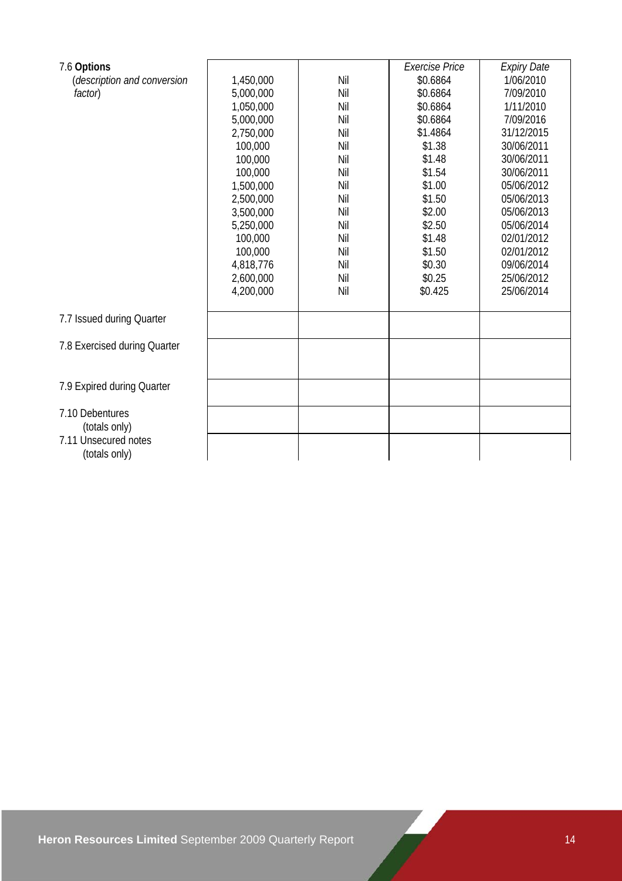| 7.6 Options                  |           |     | <b>Exercise Price</b> | <b>Expiry Date</b> |
|------------------------------|-----------|-----|-----------------------|--------------------|
| (description and conversion  | 1,450,000 | Nil | \$0.6864              | 1/06/2010          |
| factor)                      | 5,000,000 | Nil | \$0.6864              | 7/09/2010          |
|                              | 1,050,000 | Nil | \$0.6864              | 1/11/2010          |
|                              | 5,000,000 | Nil | \$0.6864              | 7/09/2016          |
|                              | 2,750,000 | Nil | \$1.4864              | 31/12/2015         |
|                              | 100,000   | Nil | \$1.38                | 30/06/2011         |
|                              | 100,000   | Nil | \$1.48                | 30/06/2011         |
|                              | 100,000   | Nil | \$1.54                | 30/06/2011         |
|                              | 1,500,000 | Nil | \$1.00                | 05/06/2012         |
|                              | 2,500,000 | Nil | \$1.50                | 05/06/2013         |
|                              | 3,500,000 | Nil | \$2.00                | 05/06/2013         |
|                              | 5,250,000 | Nil | \$2.50                | 05/06/2014         |
|                              | 100,000   | Nil | \$1.48                | 02/01/2012         |
|                              | 100,000   | Nil | \$1.50                | 02/01/2012         |
|                              | 4,818,776 | Nil | \$0.30                | 09/06/2014         |
|                              | 2,600,000 | Nil | \$0.25                | 25/06/2012         |
|                              | 4,200,000 | Nil | \$0.425               | 25/06/2014         |
| 7.7 Issued during Quarter    |           |     |                       |                    |
|                              |           |     |                       |                    |
| 7.8 Exercised during Quarter |           |     |                       |                    |
|                              |           |     |                       |                    |
| 7.9 Expired during Quarter   |           |     |                       |                    |
| 7.10 Debentures              |           |     |                       |                    |
| (totals only)                |           |     |                       |                    |
| 7.11 Unsecured notes         |           |     |                       |                    |
| (totals only)                |           |     |                       |                    |
|                              |           |     |                       |                    |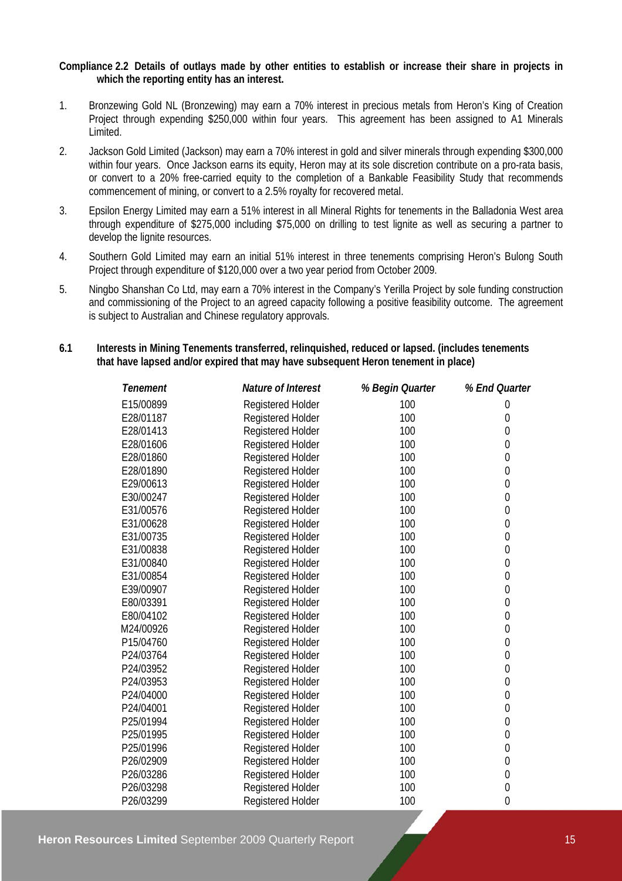#### **Compliance 2.2 Details of outlays made by other entities to establish or increase their share in projects in which the reporting entity has an interest.**

- 1. Bronzewing Gold NL (Bronzewing) may earn a 70% interest in precious metals from Heron's King of Creation Project through expending \$250,000 within four years. This agreement has been assigned to A1 Minerals Limited.
- 2. Jackson Gold Limited (Jackson) may earn a 70% interest in gold and silver minerals through expending \$300,000 within four years. Once Jackson earns its equity, Heron may at its sole discretion contribute on a pro-rata basis, or convert to a 20% free-carried equity to the completion of a Bankable Feasibility Study that recommends commencement of mining, or convert to a 2.5% royalty for recovered metal.
- 3. Epsilon Energy Limited may earn a 51% interest in all Mineral Rights for tenements in the Balladonia West area through expenditure of \$275,000 including \$75,000 on drilling to test lignite as well as securing a partner to develop the lignite resources.
- 4. Southern Gold Limited may earn an initial 51% interest in three tenements comprising Heron's Bulong South Project through expenditure of \$120,000 over a two year period from October 2009.
- 5. Ningbo Shanshan Co Ltd, may earn a 70% interest in the Company's Yerilla Project by sole funding construction and commissioning of the Project to an agreed capacity following a positive feasibility outcome. The agreement is subject to Australian and Chinese regulatory approvals.

#### **6.1 Interests in Mining Tenements transferred, relinquished, reduced or lapsed. (includes tenements that have lapsed and/or expired that may have subsequent Heron tenement in place)**

| Tenement  | Nature of Interest       | % Begin Quarter | % End Quarter    |
|-----------|--------------------------|-----------------|------------------|
| E15/00899 | <b>Registered Holder</b> | 100             | 0                |
| E28/01187 | Registered Holder        | 100             | 0                |
| E28/01413 | Registered Holder        | 100             | 0                |
| E28/01606 | Registered Holder        | 100             | $\mathbf 0$      |
| E28/01860 | Registered Holder        | 100             | $\mathbf 0$      |
| E28/01890 | <b>Registered Holder</b> | 100             | $\mathbf 0$      |
| E29/00613 | Registered Holder        | 100             | $\boldsymbol{0}$ |
| E30/00247 | Registered Holder        | 100             | $\boldsymbol{0}$ |
| E31/00576 | <b>Registered Holder</b> | 100             | $\mathbf 0$      |
| E31/00628 | Registered Holder        | 100             | $\boldsymbol{0}$ |
| E31/00735 | <b>Registered Holder</b> | 100             | $\mathbf 0$      |
| E31/00838 | Registered Holder        | 100             | $\mathbf 0$      |
| E31/00840 | <b>Registered Holder</b> | 100             | $\boldsymbol{0}$ |
| E31/00854 | Registered Holder        | 100             | $\mathbf 0$      |
| E39/00907 | Registered Holder        | 100             | $\mathbf 0$      |
| E80/03391 | Registered Holder        | 100             | $\mathbf 0$      |
| E80/04102 | Registered Holder        | 100             | $\mathbf 0$      |
| M24/00926 | Registered Holder        | 100             | $\mathbf 0$      |
| P15/04760 | <b>Registered Holder</b> | 100             | $\boldsymbol{0}$ |
| P24/03764 | Registered Holder        | 100             | $\boldsymbol{0}$ |
| P24/03952 | Registered Holder        | 100             | $\mathbf 0$      |
| P24/03953 | Registered Holder        | 100             | $\mathbf 0$      |
| P24/04000 | Registered Holder        | 100             | $\boldsymbol{0}$ |
| P24/04001 | <b>Registered Holder</b> | 100             | $\boldsymbol{0}$ |
| P25/01994 | Registered Holder        | 100             | $\boldsymbol{0}$ |
| P25/01995 | Registered Holder        | 100             | $\mathbf 0$      |
| P25/01996 | Registered Holder        | 100             | $\mathbf 0$      |
| P26/02909 | Registered Holder        | 100             | $\mathbf 0$      |
| P26/03286 | Registered Holder        | 100             | $\mathbf 0$      |
| P26/03298 | <b>Registered Holder</b> | 100             | $\boldsymbol{0}$ |
| P26/03299 | <b>Registered Holder</b> | 100             | $\mathbf 0$      |